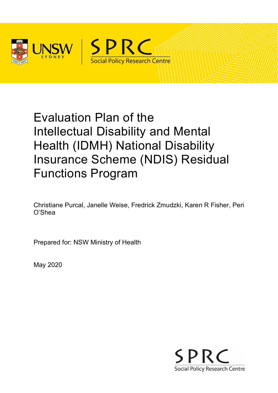



# Evaluation Plan of the Intellectual Disability and Mental Health (IDMH) National Disability Insurance Scheme (NDIS) Residual Functions Program

Christiane Purcal, Janelle Weise, Fredrick Zmudzki, Karen R Fisher, Peri O'Shea

Prepared for: NSW Ministry of Health

May 2020

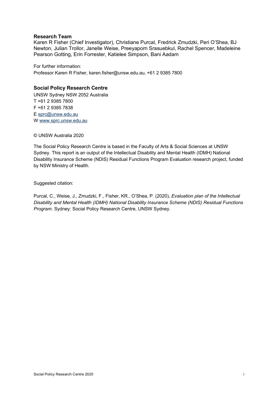#### **Research Team**

Karen R Fisher (Chief Investigator), Christiane Purcal, Fredrick Zmudzki, Peri O'Shea, BJ Newton, Julian Trollor, Janelle Weise, Preeyaporn Srasuebkul, Rachel Spencer, Madeleine Pearson Gotting, Erin Forrester, Katielee Simpson, Bani Aadam

For further information: Professor Karen R Fisher, karen.fisher@unsw.edu.au, +61 2 9385 7800

#### **Social Policy Research Centre**

UNSW Sydney NSW 2052 Australia T +61 2 9385 7800 F +61 2 9385 7838 E [sprc@unsw.edu.au](mailto:sprc@unsw.edu.au) W [www.sprc.unsw.edu.au](http://www.sprc.unsw.edu.au/)

© UNSW Australia 2020

The Social Policy Research Centre is based in the Faculty of Arts & Social Sciences at UNSW Sydney. This report is an output of the Intellectual Disability and Mental Health (IDMH) National Disability Insurance Scheme (NDIS) Residual Functions Program Evaluation research project, funded by NSW Ministry of Health.

Suggested citation:

Purcal, C., Weise, J., Zmudzki, F., Fisher, KR., O'Shea, P. (2020), *Evaluation plan of the Intellectual Disability and Mental Health (IDMH) National Disability Insurance Scheme (NDIS) Residual Functions Program*. Sydney: Social Policy Research Centre, UNSW Sydney.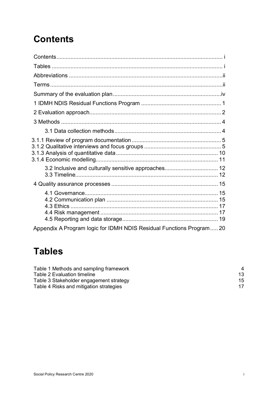# <span id="page-2-0"></span>**Contents**

| 3.2 Inclusive and culturally sensitive approaches 12                 |  |
|----------------------------------------------------------------------|--|
|                                                                      |  |
|                                                                      |  |
| Appendix A Program logic for IDMH NDIS Residual Functions Program 20 |  |

# <span id="page-2-1"></span>**Tables**

| Table 1 Methods and sampling framework  | 4  |
|-----------------------------------------|----|
| Table 2 Evaluation timeline             | 13 |
| Table 3 Stakeholder engagement strategy | 15 |
| Table 4 Risks and mitigation strategies | 17 |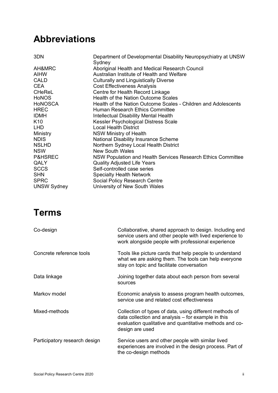## <span id="page-3-0"></span>**Abbreviations**

| Aboriginal Health and Medical Research Council<br>Australian Institute of Health and Welfare<br>Culturally and Linguistically Diverse<br><b>Cost Effectiveness Analysis</b><br>Centre for Health Record Linkage<br>Health of the Nation Outcome Scales<br>Health of the Nation Outcome Scales - Children and Adolescents<br>Human Research Ethics Committee<br><b>Intellectual Disability Mental Health</b><br>Kessler Psychological Distress Scale<br><b>Local Health District</b><br><b>NSW Ministry of Health</b><br><b>National Disability Insurance Scheme</b><br>Northern Sydney Local Health District<br><b>New South Wales</b><br>NSW Population and Health Services Research Ethics Committee<br><b>Quality Adjusted Life Years</b><br>Self-controlled case series<br><b>Specialty Health Network</b><br><b>Social Policy Research Centre</b><br>University of New South Wales | 3DN                | Department of Developmental Disability Neuropsychiatry at UNSW |
|-----------------------------------------------------------------------------------------------------------------------------------------------------------------------------------------------------------------------------------------------------------------------------------------------------------------------------------------------------------------------------------------------------------------------------------------------------------------------------------------------------------------------------------------------------------------------------------------------------------------------------------------------------------------------------------------------------------------------------------------------------------------------------------------------------------------------------------------------------------------------------------------|--------------------|----------------------------------------------------------------|
|                                                                                                                                                                                                                                                                                                                                                                                                                                                                                                                                                                                                                                                                                                                                                                                                                                                                                         |                    | Sydney                                                         |
|                                                                                                                                                                                                                                                                                                                                                                                                                                                                                                                                                                                                                                                                                                                                                                                                                                                                                         | AH&MRC             |                                                                |
|                                                                                                                                                                                                                                                                                                                                                                                                                                                                                                                                                                                                                                                                                                                                                                                                                                                                                         | AIHW               |                                                                |
|                                                                                                                                                                                                                                                                                                                                                                                                                                                                                                                                                                                                                                                                                                                                                                                                                                                                                         | <b>CALD</b>        |                                                                |
|                                                                                                                                                                                                                                                                                                                                                                                                                                                                                                                                                                                                                                                                                                                                                                                                                                                                                         | <b>CEA</b>         |                                                                |
|                                                                                                                                                                                                                                                                                                                                                                                                                                                                                                                                                                                                                                                                                                                                                                                                                                                                                         | <b>CHeReL</b>      |                                                                |
|                                                                                                                                                                                                                                                                                                                                                                                                                                                                                                                                                                                                                                                                                                                                                                                                                                                                                         | <b>HoNOS</b>       |                                                                |
|                                                                                                                                                                                                                                                                                                                                                                                                                                                                                                                                                                                                                                                                                                                                                                                                                                                                                         | <b>HONOSCA</b>     |                                                                |
|                                                                                                                                                                                                                                                                                                                                                                                                                                                                                                                                                                                                                                                                                                                                                                                                                                                                                         | <b>HREC</b>        |                                                                |
|                                                                                                                                                                                                                                                                                                                                                                                                                                                                                                                                                                                                                                                                                                                                                                                                                                                                                         | <b>IDMH</b>        |                                                                |
|                                                                                                                                                                                                                                                                                                                                                                                                                                                                                                                                                                                                                                                                                                                                                                                                                                                                                         | K <sub>10</sub>    |                                                                |
|                                                                                                                                                                                                                                                                                                                                                                                                                                                                                                                                                                                                                                                                                                                                                                                                                                                                                         | <b>LHD</b>         |                                                                |
|                                                                                                                                                                                                                                                                                                                                                                                                                                                                                                                                                                                                                                                                                                                                                                                                                                                                                         | Ministry           |                                                                |
|                                                                                                                                                                                                                                                                                                                                                                                                                                                                                                                                                                                                                                                                                                                                                                                                                                                                                         | <b>NDIS</b>        |                                                                |
|                                                                                                                                                                                                                                                                                                                                                                                                                                                                                                                                                                                                                                                                                                                                                                                                                                                                                         | <b>NSLHD</b>       |                                                                |
|                                                                                                                                                                                                                                                                                                                                                                                                                                                                                                                                                                                                                                                                                                                                                                                                                                                                                         | <b>NSW</b>         |                                                                |
|                                                                                                                                                                                                                                                                                                                                                                                                                                                                                                                                                                                                                                                                                                                                                                                                                                                                                         | <b>P&amp;HSREC</b> |                                                                |
|                                                                                                                                                                                                                                                                                                                                                                                                                                                                                                                                                                                                                                                                                                                                                                                                                                                                                         | QALY               |                                                                |
|                                                                                                                                                                                                                                                                                                                                                                                                                                                                                                                                                                                                                                                                                                                                                                                                                                                                                         | <b>SCCS</b>        |                                                                |
|                                                                                                                                                                                                                                                                                                                                                                                                                                                                                                                                                                                                                                                                                                                                                                                                                                                                                         | <b>SHN</b>         |                                                                |
|                                                                                                                                                                                                                                                                                                                                                                                                                                                                                                                                                                                                                                                                                                                                                                                                                                                                                         | <b>SPRC</b>        |                                                                |
|                                                                                                                                                                                                                                                                                                                                                                                                                                                                                                                                                                                                                                                                                                                                                                                                                                                                                         | <b>UNSW Sydney</b> |                                                                |

# <span id="page-3-1"></span>**Terms**

| Co-design                     | Collaborative, shared approach to design. Including end<br>service users and other people with lived experience to<br>work alongside people with professional experience                    |
|-------------------------------|---------------------------------------------------------------------------------------------------------------------------------------------------------------------------------------------|
| Concrete reference tools      | Tools like picture cards that help people to understand<br>what we are asking them. The tools can help everyone<br>stay on topic and facilitate conversation                                |
| Data linkage                  | Joining together data about each person from several<br>sources                                                                                                                             |
| Markov model                  | Economic analysis to assess program health outcomes,<br>service use and related cost effectiveness                                                                                          |
| Mixed-methods                 | Collection of types of data, using different methods of<br>data collection and analysis – for example in this<br>evaluation qualitative and quantitative methods and co-<br>design are used |
| Participatory research design | Service users and other people with similar lived<br>experiences are involved in the design process. Part of<br>the co-design methods                                                       |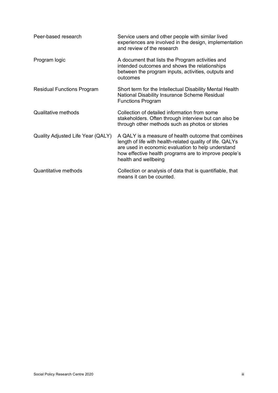| Peer-based research               | Service users and other people with similar lived<br>experiences are involved in the design, implementation<br>and review of the research                                                                                                               |
|-----------------------------------|---------------------------------------------------------------------------------------------------------------------------------------------------------------------------------------------------------------------------------------------------------|
| Program logic                     | A document that lists the Program activities and<br>intended outcomes and shows the relationships<br>between the program inputs, activities, outputs and<br>outcomes                                                                                    |
| <b>Residual Functions Program</b> | Short term for the Intellectual Disability Mental Health<br>National Disability Insurance Scheme Residual<br><b>Functions Program</b>                                                                                                                   |
| <b>Qualitative methods</b>        | Collection of detailed information from some<br>stakeholders. Often through interview but can also be<br>through other methods such as photos or stories                                                                                                |
| Quality Adjusted Life Year (QALY) | A QALY is a measure of health outcome that combines<br>length of life with health-related quality of life. QALYs<br>are used in economic evaluation to help understand<br>how effective health programs are to improve people's<br>health and wellbeing |
| Quantitative methods              | Collection or analysis of data that is quantifiable, that<br>means it can be counted.                                                                                                                                                                   |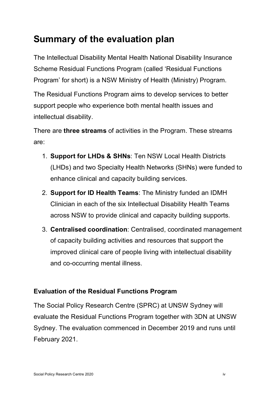# <span id="page-5-0"></span>**Summary of the evaluation plan**

The Intellectual Disability Mental Health National Disability Insurance Scheme Residual Functions Program (called 'Residual Functions Program' for short) is a NSW Ministry of Health (Ministry) Program.

The Residual Functions Program aims to develop services to better support people who experience both mental health issues and intellectual disability.

There are **three streams** of activities in the Program. These streams are:

- 1. **Support for LHDs & SHNs**: Ten NSW Local Health Districts (LHDs) and two Specialty Health Networks (SHNs) were funded to enhance clinical and capacity building services.
- 2. **Support for ID Health Teams**: The Ministry funded an IDMH Clinician in each of the six Intellectual Disability Health Teams across NSW to provide clinical and capacity building supports.
- 3. **Centralised coordination**: Centralised, coordinated management of capacity building activities and resources that support the improved clinical care of people living with intellectual disability and co-occurring mental illness.

### **Evaluation of the Residual Functions Program**

The Social Policy Research Centre (SPRC) at UNSW Sydney will evaluate the Residual Functions Program together with 3DN at UNSW Sydney. The evaluation commenced in December 2019 and runs until February 2021.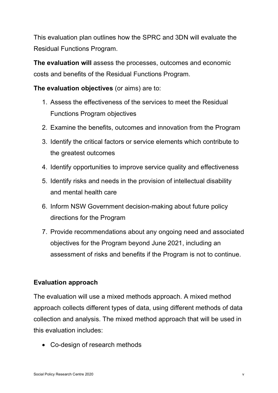This evaluation plan outlines how the SPRC and 3DN will evaluate the Residual Functions Program.

**The evaluation will** assess the processes, outcomes and economic costs and benefits of the Residual Functions Program.

**The evaluation objectives** (or aims) are to:

- 1. Assess the effectiveness of the services to meet the Residual Functions Program objectives
- 2. Examine the benefits, outcomes and innovation from the Program
- 3. Identify the critical factors or service elements which contribute to the greatest outcomes
- 4. Identify opportunities to improve service quality and effectiveness
- 5. Identify risks and needs in the provision of intellectual disability and mental health care
- 6. Inform NSW Government decision-making about future policy directions for the Program
- 7. Provide recommendations about any ongoing need and associated objectives for the Program beyond June 2021, including an assessment of risks and benefits if the Program is not to continue.

### **Evaluation approach**

The evaluation will use a mixed methods approach. A mixed method approach collects different types of data, using different methods of data collection and analysis. The mixed method approach that will be used in this evaluation includes:

• Co-design of research methods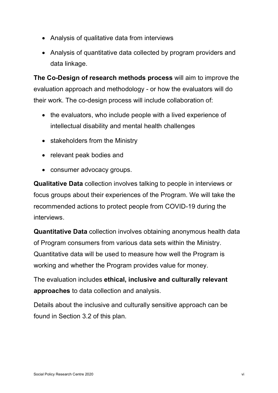- Analysis of qualitative data from interviews
- Analysis of quantitative data collected by program providers and data linkage.

**The Co-Design of research methods process** will aim to improve the evaluation approach and methodology - or how the evaluators will do their work. The co-design process will include collaboration of:

- the evaluators, who include people with a lived experience of intellectual disability and mental health challenges
- stakeholders from the Ministry
- relevant peak bodies and
- consumer advocacy groups.

**Qualitative Data** collection involves talking to people in interviews or focus groups about their experiences of the Program. We will take the recommended actions to protect people from COVID-19 during the interviews.

**Quantitative Data** collection involves obtaining anonymous health data of Program consumers from various data sets within the Ministry. Quantitative data will be used to measure how well the Program is working and whether the Program provides value for money.

The evaluation includes **ethical, inclusive and culturally relevant approaches** to data collection and analysis.

Details about the inclusive and culturally sensitive approach can be found in Section 3.2 of this plan.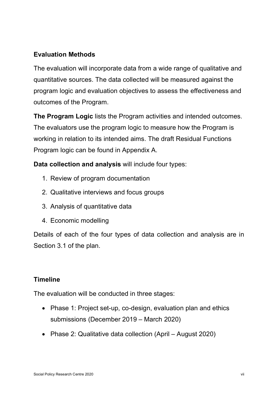### **Evaluation Methods**

The evaluation will incorporate data from a wide range of qualitative and quantitative sources. The data collected will be measured against the program logic and evaluation objectives to assess the effectiveness and outcomes of the Program.

**The Program Logic** lists the Program activities and intended outcomes. The evaluators use the program logic to measure how the Program is working in relation to its intended aims. The draft Residual Functions Program logic can be found in [Appendix A.](#page-30-0)

### **Data collection and analysis** will include four types:

- 1. Review of program documentation
- 2. Qualitative interviews and focus groups
- 3. Analysis of quantitative data
- 4. Economic modelling

Details of each of the four types of data collection and analysis are in Section 3.1 of the plan.

### **Timeline**

The evaluation will be conducted in three stages:

- Phase 1: Project set-up, co-design, evaluation plan and ethics submissions (December 2019 – March 2020)
- Phase 2: Qualitative data collection (April August 2020)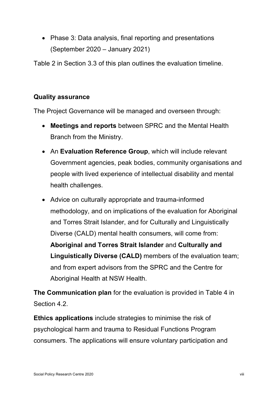• Phase 3: Data analysis, final reporting and presentations (September 2020 – January 2021)

[Table 2](#page-23-0) in Section 3.3 of this plan outlines the evaluation timeline.

### **Quality assurance**

The Project Governance will be managed and overseen through:

- **Meetings and reports** between SPRC and the Mental Health Branch from the Ministry.
- An **Evaluation Reference Group**, which will include relevant Government agencies, peak bodies, community organisations and people with lived experience of intellectual disability and mental health challenges.
- Advice on culturally appropriate and trauma-informed methodology, and on implications of the evaluation for Aboriginal and Torres Strait Islander, and for Culturally and Linguistically Diverse (CALD) mental health consumers, will come from: **Aboriginal and Torres Strait Islander** and **Culturally and Linguistically Diverse (CALD)** members of the evaluation team; and from expert advisors from the SPRC and the Centre for Aboriginal Health at NSW Health.

**The Communication plan** for the evaluation is provided in [Table 4](#page-25-3) in Section 4.2.

**Ethics applications** include strategies to minimise the risk of psychological harm and trauma to Residual Functions Program consumers. The applications will ensure voluntary participation and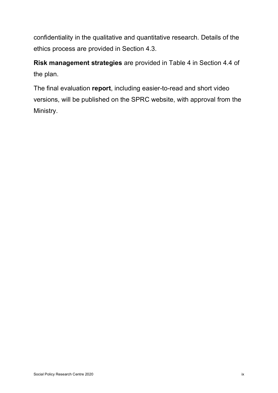confidentiality in the qualitative and quantitative research. Details of the ethics process are provided in Section 4.3.

**Risk management strategies** are provided in [Table 4](#page-27-2) in Section 4.4 of the plan.

The final evaluation **report**, including easier-to-read and short video versions, will be published on the SPRC website, with approval from the Ministry.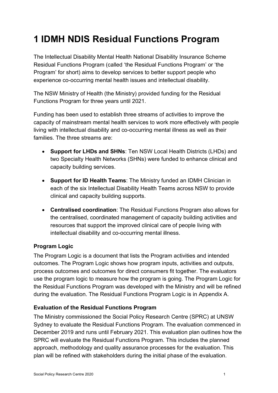# <span id="page-11-0"></span>**1 IDMH NDIS Residual Functions Program**

The Intellectual Disability Mental Health National Disability Insurance Scheme Residual Functions Program (called 'the Residual Functions Program' or 'the Program' for short) aims to develop services to better support people who experience co-occurring mental health issues and intellectual disability.

The NSW Ministry of Health (the Ministry) provided funding for the Residual Functions Program for three years until 2021.

Funding has been used to establish three streams of activities to improve the capacity of mainstream mental health services to work more effectively with people living with intellectual disability and co-occurring mental illness as well as their families. The three streams are:

- **Support for LHDs and SHNs**: Ten NSW Local Health Districts (LHDs) and two Specialty Health Networks (SHNs) were funded to enhance clinical and capacity building services.
- **Support for ID Health Teams**: The Ministry funded an IDMH Clinician in each of the six Intellectual Disability Health Teams across NSW to provide clinical and capacity building supports.
- **Centralised coordination**: The Residual Functions Program also allows for the centralised, coordinated management of capacity building activities and resources that support the improved clinical care of people living with intellectual disability and co-occurring mental illness.

#### **Program Logic**

The Program Logic is a document that lists the Program activities and intended outcomes. The Program Logic shows how program inputs, activities and outputs, process outcomes and outcomes for direct consumers fit together. The evaluators use the program logic to measure how the program is going. The Program Logic for the Residual Functions Program was developed with the Ministry and will be refined during the evaluation. The Residual Functions Program Logic is in [Appendix A.](#page-30-0)

#### **Evaluation of the Residual Functions Program**

The Ministry commissioned the Social Policy Research Centre (SPRC) at UNSW Sydney to evaluate the Residual Functions Program. The evaluation commenced in December 2019 and runs until February 2021. This evaluation plan outlines how the SPRC will evaluate the Residual Functions Program. This includes the planned approach, methodology and quality assurance processes for the evaluation. This plan will be refined with stakeholders during the initial phase of the evaluation.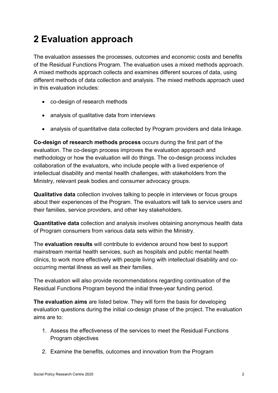# <span id="page-12-0"></span>**2 Evaluation approach**

The evaluation assesses the processes, outcomes and economic costs and benefits of the Residual Functions Program. The evaluation uses a mixed methods approach. A mixed methods approach collects and examines different sources of data, using different methods of data collection and analysis. The mixed methods approach used in this evaluation includes:

- co-design of research methods
- analysis of qualitative data from interviews
- analysis of quantitative data collected by Program providers and data linkage.

**Co-design of research methods process** occurs during the first part of the evaluation. The co-design process improves the evaluation approach and methodology or how the evaluation will do things. The co-design process includes collaboration of the evaluators, who include people with a lived experience of intellectual disability and mental health challenges, with stakeholders from the Ministry, relevant peak bodies and consumer advocacy groups.

**Qualitative data** collection involves talking to people in interviews or focus groups about their experiences of the Program. The evaluators will talk to service users and their families, service providers, and other key stakeholders.

**Quantitative data** collection and analysis involves obtaining anonymous health data of Program consumers from various data sets within the Ministry.

The **evaluation results** will contribute to evidence around how best to support mainstream mental health services, such as hospitals and public mental health clinics, to work more effectively with people living with intellectual disability and cooccurring mental illness as well as their families.

The evaluation will also provide recommendations regarding continuation of the Residual Functions Program beyond the initial three-year funding period.

**The evaluation aims** are listed below. They will form the basis for developing evaluation questions during the initial co-design phase of the project. The evaluation aims are to:

- 1. Assess the effectiveness of the services to meet the Residual Functions Program objectives
- 2. Examine the benefits, outcomes and innovation from the Program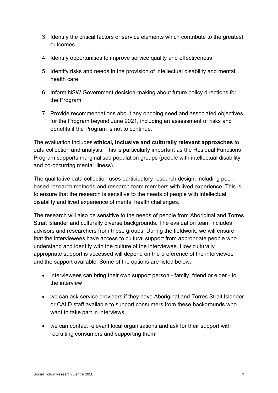- 3. Identify the critical factors or service elements which contribute to the greatest outcomes
- 4. Identify opportunities to improve service quality and effectiveness
- 5. Identify risks and needs in the provision of intellectual disability and mental health care
- 6. Inform NSW Government decision-making about future policy directions for the Program
- 7. Provide recommendations about any ongoing need and associated objectives for the Program beyond June 2021, including an assessment of risks and benefits if the Program is not to continue.

The evaluation includes **ethical, inclusive and culturally relevant approaches** to data collection and analysis. This is particularly important as the Residual Functions Program supports marginalised population groups (people with intellectual disability and co-occurring mental illness).

The qualitative data collection uses participatory research design, including peerbased research methods and research team members with lived experience. This is to ensure that the research is sensitive to the needs of people with intellectual disability and lived experience of mental health challenges.

The research will also be sensitive to the needs of people from Aboriginal and Torres Strait Islander and culturally diverse backgrounds. The evaluation team includes advisors and researchers from these groups. During the fieldwork, we will ensure that the interviewees have access to cultural support from appropriate people who understand and identify with the culture of the interviewee. How culturally appropriate support is accessed will depend on the preference of the interviewee and the support available. Some of the options are listed below:

- interviewees can bring their own support person family, friend or elder to the interview
- we can ask service providers if they have Aboriginal and Torres Strait Islander or CALD staff available to support consumers from these backgrounds who want to take part in interviews
- we can contact relevant local organisations and ask for their support with recruiting consumers and supporting them.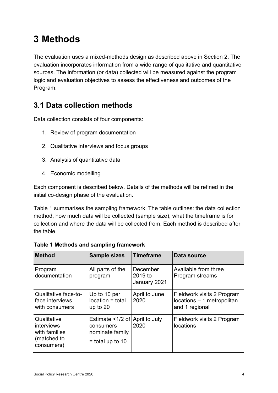# <span id="page-14-0"></span>**3 Methods**

The evaluation uses a mixed-methods design as described above in Section 2. The evaluation incorporates information from a wide range of qualitative and quantitative sources. The information (or data) collected will be measured against the program logic and evaluation objectives to assess the effectiveness and outcomes of the Program.

## <span id="page-14-1"></span>**3.1 Data collection methods**

Data collection consists of four components:

- 1. Review of program documentation
- 2. Qualitative interviews and focus groups
- 3. Analysis of quantitative data
- 4. Economic modelling

Each component is described below. Details of the methods will be refined in the initial co-design phase of the evaluation.

Table 1 summarises the sampling framework. The table outlines: the data collection method, how much data will be collected (sample size), what the timeframe is for collection and where the data will be collected from. Each method is described after the table.

| <b>Method</b>                                                           | <b>Sample sizes</b>                                                                  | <b>Timeframe</b>                    | Data source                                                                |
|-------------------------------------------------------------------------|--------------------------------------------------------------------------------------|-------------------------------------|----------------------------------------------------------------------------|
| Program<br>documentation                                                | All parts of the<br>program                                                          | December<br>2019 to<br>January 2021 | Available from three<br>Program streams                                    |
| Qualitative face-to-<br>face interviews<br>with consumers               | Up to 10 per<br>location = total<br>up to $20$                                       | April to June<br>2020               | Fieldwork visits 2 Program<br>locations - 1 metropolitan<br>and 1 regional |
| Qualitative<br>interviews<br>with families<br>(matched to<br>consumers) | Estimate <1/2 of April to July<br>consumers<br>nominate family<br>$=$ total up to 10 | 2020                                | Fieldwork visits 2 Program<br>locations                                    |

<span id="page-14-2"></span>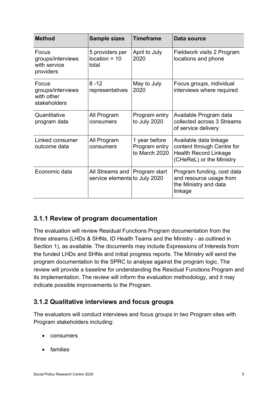| <b>Method</b>                                            | <b>Sample sizes</b>                              | <b>Timeframe</b>                                | Data source                                                                                                      |
|----------------------------------------------------------|--------------------------------------------------|-------------------------------------------------|------------------------------------------------------------------------------------------------------------------|
| Focus<br>groups/interviews<br>with service<br>providers  | 5 providers per<br>$location = 10$<br>total      | April to July<br>2020                           | Fieldwork visits 2 Program<br>locations and phone                                                                |
| Focus<br>groups/interviews<br>with other<br>stakeholders | $8 - 12$<br>representatives                      | May to July<br>2020                             | Focus groups, individual<br>interviews where required                                                            |
| Quantitative<br>program data                             | All Program<br>consumers                         | Program entry<br>to July 2020                   | Available Program data<br>collected across 3 Streams<br>of service delivery                                      |
| Linked consumer<br>outcome data                          | All Program<br>consumers                         | 1 year before<br>Program entry<br>to March 2020 | Available data linkage<br>content through Centre for<br><b>Health Record Linkage</b><br>(CHeReL) or the Ministry |
| Economic data                                            | All Streams and<br>service elements to July 2020 | <b>Program start</b>                            | Program funding, cost data<br>and resource usage from<br>the Ministry and data<br>linkage                        |

### <span id="page-15-0"></span>**3.1.1 Review of program documentation**

The evaluation will review Residual Functions Program documentation from the three streams (LHDs & SHNs, ID Health Teams and the Ministry - as outlined in Section 1), as available. The documents may include Expressions of Interests from the funded LHDs and SHNs and initial progress reports. The Ministry will send the program documentation to the SPRC to analyse against the program logic. The review will provide a baseline for understanding the Residual Functions Program and its implementation. The review will inform the evaluation methodology, and it may indicate possible improvements to the Program.

### <span id="page-15-1"></span>**3.1.2 Qualitative interviews and focus groups**

The evaluators will conduct interviews and focus groups in two Program sites with Program stakeholders including:

- consumers
- families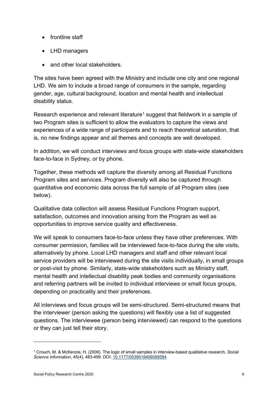- frontline staff
- LHD managers
- and other local stakeholders.

The sites have been agreed with the Ministry and include one city and one regional LHD. We aim to include a broad range of consumers in the sample, regarding gender, age, cultural background, location and mental health and intellectual disability status.

Research experience and relevant literature<sup>[1](#page-16-0)</sup> suggest that fieldwork in a sample of two Program sites is sufficient to allow the evaluators to capture the views and experiences of a wide range of participants and to reach theoretical saturation, that is, no new findings appear and all themes and concepts are well developed.

In addition, we will conduct interviews and focus groups with state-wide stakeholders face-to-face in Sydney, or by phone.

Together, these methods will capture the diversity among all Residual Functions Program sites and services. Program diversity will also be captured through quantitative and economic data across the full sample of all Program sites (see below).

Qualitative data collection will assess Residual Functions Program support, satisfaction, outcomes and innovation arising from the Program as well as opportunities to improve service quality and effectiveness.

We will speak to consumers face-to-face unless they have other preferences. With consumer permission, families will be interviewed face-to-face during the site visits, alternatively by phone. Local LHD managers and staff and other relevant local service providers will be interviewed during the site visits individually, in small groups or post-visit by phone. Similarly, state-wide stakeholders such as Ministry staff, mental health and intellectual disability peak bodies and community organisations and referring partners will be invited to individual interviews or small focus groups, depending on practicality and their preferences.

All interviews and focus groups will be semi-structured. Semi-structured means that the interviewer (person asking the questions) will flexibly use a list of suggested questions. The interviewee (person being interviewed) can respond to the questions or they can just tell their story.

<span id="page-16-0"></span><sup>1</sup> Crouch, M. & McKenzie, H. (2006). The logic of small samples in interview-based qualitative research. *Social Science Information*, 45(4), 483-499. DOI[: 10.1177/0539018406069584](https://www.researchgate.net/deref/http%3A%2F%2Fdx.doi.org%2F10.1177%2F0539018406069584?_sg%5B0%5D=XAIucc3ocRWVOT2GqNhpAOK0D4e29KDu_dLWnoj_FBd93824PEiUR6WL_Vv_YWqQu3MfEwhODMfzsktbmgCXDH98Yw.4fmMzwojxfe0z_Gujpa_KzfDSvBRWJx_czRHQd7kOmloj11XGIegP9usR0ww1Vhi6f4vLEiYruJuqznuMbXzKg)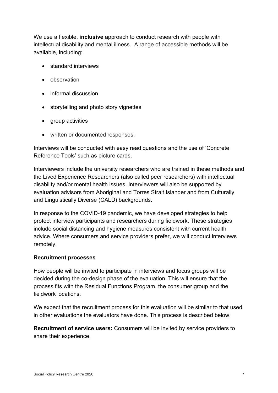We use a flexible, **inclusive** approach to conduct research with people with intellectual disability and mental illness. A range of accessible methods will be available, including:

- standard interviews
- observation
- informal discussion
- storytelling and photo story vignettes
- group activities
- written or documented responses.

Interviews will be conducted with easy read questions and the use of 'Concrete Reference Tools' such as picture cards.

Interviewers include the university researchers who are trained in these methods and the Lived Experience Researchers (also called peer researchers) with intellectual disability and/or mental health issues. Interviewers will also be supported by evaluation advisors from Aboriginal and Torres Strait Islander and from Culturally and Linguistically Diverse (CALD) backgrounds.

In response to the COVID-19 pandemic, we have developed strategies to help protect interview participants and researchers during fieldwork. These strategies include social distancing and hygiene measures consistent with current health advice. Where consumers and service providers prefer, we will conduct interviews remotely.

#### **Recruitment processes**

How people will be invited to participate in interviews and focus groups will be decided during the co-design phase of the evaluation. This will ensure that the process fits with the Residual Functions Program, the consumer group and the fieldwork locations.

We expect that the recruitment process for this evaluation will be similar to that used in other evaluations the evaluators have done. This process is described below.

**Recruitment of service users:** Consumers will be invited by service providers to share their experience.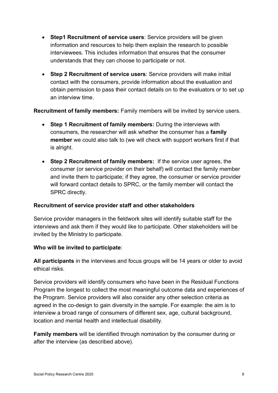- **Step1 Recruitment of service users**: Service providers will be given information and resources to help them explain the research to possible interviewees. This includes information that ensures that the consumer understands that they can choose to participate or not.
- **Step 2 Recruitment of service users**: Service providers will make initial contact with the consumers, provide information about the evaluation and obtain permission to pass their contact details on to the evaluators or to set up an interview time.

**Recruitment of family members:** Family members will be invited by service users.

- **Step 1 Recruitment of family members:** During the interviews with consumers, the researcher will ask whether the consumer has a **family member** we could also talk to (we will check with support workers first if that is alright.
- **Step 2 Recruitment of family members:** If the service user agrees, the consumer (or service provider on their behalf) will contact the family member and invite them to participate; if they agree, the consumer or service provider will forward contact details to SPRC, or the family member will contact the SPRC directly.

#### **Recruitment of service provider staff and other stakeholders**

Service provider managers in the fieldwork sites will identify suitable staff for the interviews and ask them if they would like to participate. Other stakeholders will be invited by the Ministry to participate.

#### **Who will be invited to participate**:

**All participants** in the interviews and focus groups will be 14 years or older to avoid ethical risks.

Service providers will identify consumers who have been in the Residual Functions Program the longest to collect the most meaningful outcome data and experiences of the Program. Service providers will also consider any other selection criteria as agreed in the co-design to gain diversity in the sample. For example: the aim is to interview a broad range of consumers of different sex, age, cultural background, location and mental health and intellectual disability.

**Family members** will be identified through nomination by the consumer during or after the interview (as described above).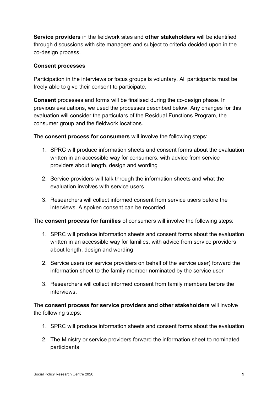**Service providers** in the fieldwork sites and **other stakeholders** will be identified through discussions with site managers and subject to criteria decided upon in the co-design process.

#### **Consent processes**

Participation in the interviews or focus groups is voluntary. All participants must be freely able to give their consent to participate.

**Consent** processes and forms will be finalised during the co-design phase. In previous evaluations, we used the processes described below. Any changes for this evaluation will consider the particulars of the Residual Functions Program, the consumer group and the fieldwork locations.

The **consent process for consumers** will involve the following steps:

- 1. SPRC will produce information sheets and consent forms about the evaluation written in an accessible way for consumers, with advice from service providers about length, design and wording
- 2. Service providers will talk through the information sheets and what the evaluation involves with service users
- 3. Researchers will collect informed consent from service users before the interviews. A spoken consent can be recorded.

The **consent process for families** of consumers will involve the following steps:

- 1. SPRC will produce information sheets and consent forms about the evaluation written in an accessible way for families, with advice from service providers about length, design and wording
- 2. Service users (or service providers on behalf of the service user) forward the information sheet to the family member nominated by the service user
- 3. Researchers will collect informed consent from family members before the interviews.

The **consent process for service providers and other stakeholders** will involve the following steps:

- 1. SPRC will produce information sheets and consent forms about the evaluation
- 2. The Ministry or service providers forward the information sheet to nominated participants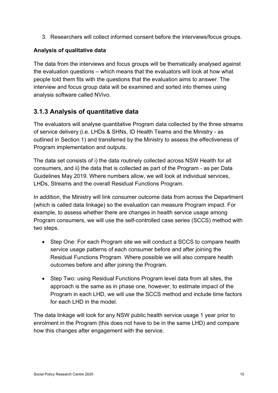3. Researchers will collect informed consent before the interviews/focus groups.

#### **Analysis of qualitative data**

The data from the interviews and focus groups will be thematically analysed against the evaluation questions – which means that the evaluators will look at how what people told them fits with the questions that the evaluation aims to answer. The interview and focus group data will be examined and sorted into themes using analysis software called NVivo.

### <span id="page-20-0"></span>**3.1.3 Analysis of quantitative data**

The evaluators will analyse quantitative Program data collected by the three streams of service delivery (i.e. LHDs & SHNs, ID Health Teams and the Ministry - as outlined in Section 1) and transferred by the Ministry to assess the effectiveness of Program implementation and outputs.

The data set consists of i) the data routinely collected across NSW Health for all consumers, and ii) the data that is collected as part of the Program - as per Data Guidelines May 2019. Where numbers allow, we will look at individual services, LHDs, Streams and the overall Residual Functions Program.

In addition, the Ministry will link consumer outcome data from across the Department (which is called data linkage) so the evaluation can measure Program impact. For example, to assess whether there are changes in health service usage among Program consumers, we will use the self-controlled case series (SCCS) method with two steps.

- Step One: For each Program site we will conduct a SCCS to compare health service usage patterns of each consumer before and after joining the Residual Functions Program. Where possible we will also compare health outcomes before and after joining the Program.
- Step Two: using Residual Functions Program level data from all sites, the approach is the same as in phase one, however, to estimate impact of the Program in each LHD, we will use the SCCS method and include time factors for each LHD in the model

The data linkage will look for any NSW public health service usage 1 year prior to enrolment in the Program (this does not have to be in the same LHD) and compare how this changes after engagement with the service.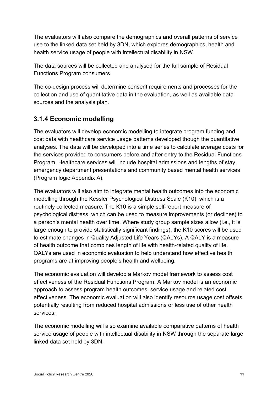The evaluators will also compare the demographics and overall patterns of service use to the linked data set held by 3DN, which explores demographics, health and health service usage of people with intellectual disability in NSW.

The data sources will be collected and analysed for the full sample of Residual Functions Program consumers.

The co-design process will determine consent requirements and processes for the collection and use of quantitative data in the evaluation, as well as available data sources and the analysis plan.

### <span id="page-21-0"></span>**3.1.4 Economic modelling**

The evaluators will develop economic modelling to integrate program funding and cost data with healthcare service usage patterns developed though the quantitative analyses. The data will be developed into a time series to calculate average costs for the services provided to consumers before and after entry to the Residual Functions Program. Healthcare services will include hospital admissions and lengths of stay, emergency department presentations and community based mental health services (Program logic Appendix A).

The evaluators will also aim to integrate mental health outcomes into the economic modelling through the Kessler Psychological Distress Scale (K10), which is a routinely collected measure. The K10 is a simple self-report measure of psychological distress, which can be used to measure improvements (or declines) to a person's mental health over time. Where study group sample sizes allow (i.e., it is large enough to provide statistically significant findings), the K10 scores will be used to estimate changes in Quality Adjusted Life Years (QALYs). A QALY is a measure of health outcome that combines length of life with health-related quality of life. QALYs are used in economic evaluation to help understand how effective health programs are at improving people's health and wellbeing.

The economic evaluation will develop a Markov model framework to assess cost effectiveness of the Residual Functions Program. A Markov model is an economic approach to assess program health outcomes, service usage and related cost effectiveness. The economic evaluation will also identify resource usage cost offsets potentially resulting from reduced hospital admissions or less use of other health services.

The economic modelling will also examine available comparative patterns of health service usage of people with intellectual disability in NSW through the separate large linked data set held by 3DN.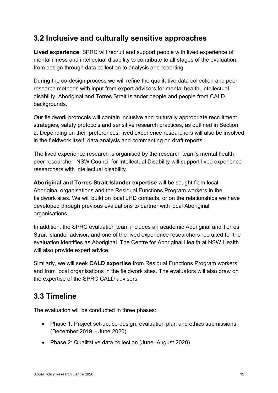## <span id="page-22-0"></span>**3.2 Inclusive and culturally sensitive approaches**

**Lived experience**: SPRC will recruit and support people with lived experience of mental illness and intellectual disability to contribute to all stages of the evaluation, from design through data collection to analysis and reporting.

During the co-design process we will refine the qualitative data collection and peer research methods with input from expert advisors for mental health, intellectual disability, Aboriginal and Torres Strait Islander people and people from CALD backgrounds.

Our fieldwork protocols will contain inclusive and culturally appropriate recruitment strategies, safety protocols and sensitive research practices, as outlined in Section [2.](#page-12-0) Depending on their preferences, lived experience researchers will also be involved in the fieldwork itself, data analysis and commenting on draft reports.

The lived experience research is organised by the research team's mental health peer researcher. NSW Council for Intellectual Disability will support lived experience researchers with intellectual disability.

**Aboriginal and Torres Strait Islander expertise** will be sought from local Aboriginal organisations and the Residual Functions Program workers in the fieldwork sites. We will build on local LHD contacts, or on the relationships we have developed through previous evaluations to partner with local Aboriginal organisations.

In addition, the SPRC evaluation team includes an academic Aboriginal and Torres Strait Islander advisor, and one of the lived experience researchers recruited for the evaluation identifies as Aboriginal. The Centre for Aboriginal Health at NSW Health will also provide expert advice.

Similarly, we will seek **CALD expertise** from Residual Functions Program workers and from local organisations in the fieldwork sites. The evaluators will also draw on the expertise of the SPRC CALD advisors.

## <span id="page-22-1"></span>**3.3 Timeline**

The evaluation will be conducted in three phases:

- Phase 1: Project set-up, co-design, evaluation plan and ethics submissions (December 2019 – June 2020)
- Phase 2: Qualitative data collection (June–August 2020)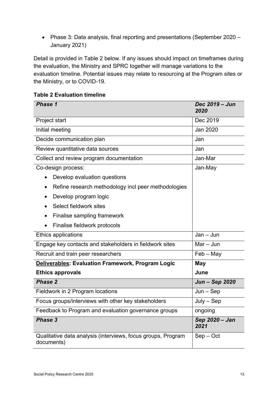• Phase 3: Data analysis, final reporting and presentations (September 2020 – January 2021)

Detail is provided in [Table 2](#page-23-0) below. If any issues should impact on timeframes during the evaluation, the Ministry and SPRC together will manage variations to the evaluation timeline. Potential issues may relate to resourcing at the Program sites or the Ministry, or to COVID-19.

<span id="page-23-0"></span>

|  |  |  | <b>Table 2 Evaluation timeline</b> |  |
|--|--|--|------------------------------------|--|
|--|--|--|------------------------------------|--|

| Phase 1                                                                    | Dec 2019 - Jun<br>2020 |
|----------------------------------------------------------------------------|------------------------|
| Project start                                                              | Dec 2019               |
| Initial meeting                                                            | Jan 2020               |
| Decide communication plan                                                  | Jan                    |
| Review quantitative data sources                                           | Jan                    |
| Collect and review program documentation                                   | Jan-Mar                |
| Co-design process:                                                         | Jan-May                |
| Develop evaluation questions                                               |                        |
| Refine research methodology incl peer methodologies                        |                        |
| Develop program logic<br>$\bullet$                                         |                        |
| Select fieldwork sites                                                     |                        |
| Finalise sampling framework                                                |                        |
| Finalise fieldwork protocols                                               |                        |
| <b>Ethics applications</b>                                                 | $Jan - Jun$            |
| Engage key contacts and stakeholders in fieldwork sites                    | $Mar - Jun$            |
| Recruit and train peer researchers                                         | $Feb - May$            |
| <b>Deliverables: Evaluation Framework, Program Logic</b>                   | <b>May</b>             |
| <b>Ethics approvals</b>                                                    | June                   |
| <b>Phase 2</b>                                                             | Jun - Sep 2020         |
| Fieldwork in 2 Program locations                                           | $Jun - Sep$            |
| Focus groups/interviews with other key stakeholders                        | $July - Sep$           |
| Feedback to Program and evaluation governance groups                       | ongoing                |
| Phase 3                                                                    | Sep 2020 - Jan<br>2021 |
| Qualitative data analysis (interviews, focus groups, Program<br>documents) | $Sep - Oct$            |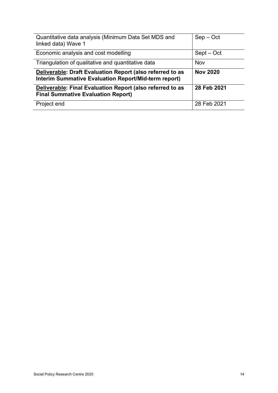| Quantitative data analysis (Minimum Data Set MDS and<br>linked data) Wave 1                            | $Sep - Oct$     |
|--------------------------------------------------------------------------------------------------------|-----------------|
| Economic analysis and cost modelling                                                                   | $Sept - Oct$    |
| Triangulation of qualitative and quantitative data                                                     | Nov             |
| Deliverable: Draft Evaluation Report (also referred to as                                              | <b>Nov 2020</b> |
| Interim Summative Evaluation Report/Mid-term report)                                                   |                 |
| Deliverable: Final Evaluation Report (also referred to as<br><b>Final Summative Evaluation Report)</b> | 28 Feb 2021     |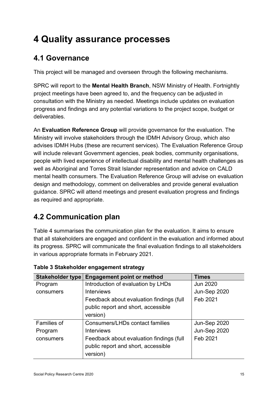# <span id="page-25-0"></span>**4 Quality assurance processes**

## <span id="page-25-1"></span>**4.1 Governance**

This project will be managed and overseen through the following mechanisms.

SPRC will report to the **Mental Health Branch**, NSW Ministry of Health. Fortnightly project meetings have been agreed to, and the frequency can be adjusted in consultation with the Ministry as needed. Meetings include updates on evaluation progress and findings and any potential variations to the project scope, budget or deliverables.

An **Evaluation Reference Group** will provide governance for the evaluation. The Ministry will involve stakeholders through the IDMH Advisory Group, which also advises IDMH Hubs (these are recurrent services). The Evaluation Reference Group will include relevant Government agencies, peak bodies, community organisations, people with lived experience of intellectual disability and mental health challenges as well as Aboriginal and Torres Strait Islander representation and advice on CALD mental health consumers. The Evaluation Reference Group will advise on evaluation design and methodology, comment on deliverables and provide general evaluation guidance. SPRC will attend meetings and present evaluation progress and findings as required and appropriate.

## <span id="page-25-2"></span>**4.2 Communication plan**

[Table 4](#page-25-3) summarises the communication plan for the evaluation. It aims to ensure that all stakeholders are engaged and confident in the evaluation and informed about its progress. SPRC will communicate the final evaluation findings to all stakeholders in various appropriate formats in February 2021.

| Stakeholder type   | <b>Engagement point or method</b>        | <b>Times</b>        |
|--------------------|------------------------------------------|---------------------|
| Program            | Introduction of evaluation by LHDs       | <b>Jun 2020</b>     |
| consumers          | <b>Interviews</b>                        | Jun-Sep 2020        |
|                    | Feedback about evaluation findings (full | Feb 2021            |
|                    | public report and short, accessible      |                     |
|                    | version)                                 |                     |
| <b>Families of</b> | Consumers/LHDs contact families          | <b>Jun-Sep 2020</b> |
| Program            | <b>Interviews</b>                        | Jun-Sep 2020        |
| consumers          | Feedback about evaluation findings (full | Feb 2021            |
|                    | public report and short, accessible      |                     |
|                    | version)                                 |                     |

<span id="page-25-3"></span>

|  |  | Table 3 Stakeholder engagement strategy |  |
|--|--|-----------------------------------------|--|
|--|--|-----------------------------------------|--|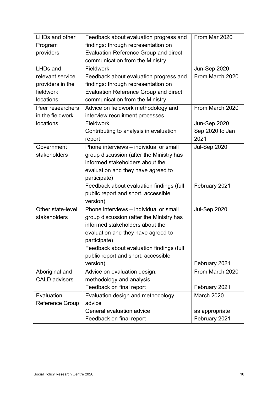| LHDs and other         | Feedback about evaluation progress and       | From Mar 2020       |
|------------------------|----------------------------------------------|---------------------|
| Program                | findings: through representation on          |                     |
| providers              | <b>Evaluation Reference Group and direct</b> |                     |
|                        | communication from the Ministry              |                     |
| <b>LHDs and</b>        | Fieldwork                                    | Jun-Sep 2020        |
| relevant service       | Feedback about evaluation progress and       | From March 2020     |
| providers in the       | findings: through representation on          |                     |
| fieldwork              | <b>Evaluation Reference Group and direct</b> |                     |
| locations              | communication from the Ministry              |                     |
| Peer researchers       | Advice on fieldwork methodology and          | From March 2020     |
| in the fieldwork       | interview recruitment processes              |                     |
| locations              | Fieldwork                                    | Jun-Sep 2020        |
|                        | Contributing to analysis in evaluation       | Sep 2020 to Jan     |
|                        | report                                       | 2021                |
| Government             | Phone interviews - individual or small       | <b>Jul-Sep 2020</b> |
| stakeholders           | group discussion (after the Ministry has     |                     |
|                        | informed stakeholders about the              |                     |
|                        | evaluation and they have agreed to           |                     |
|                        | participate)                                 |                     |
|                        | Feedback about evaluation findings (full     | February 2021       |
|                        | public report and short, accessible          |                     |
|                        | version)                                     |                     |
| Other state-level      | Phone interviews – individual or small       | <b>Jul-Sep 2020</b> |
| stakeholders           | group discussion (after the Ministry has     |                     |
|                        | informed stakeholders about the              |                     |
|                        | evaluation and they have agreed to           |                     |
|                        | participate)                                 |                     |
|                        | Feedback about evaluation findings (full     |                     |
|                        | public report and short, accessible          |                     |
|                        | version)                                     | February 2021       |
| Aboriginal and         | Advice on evaluation design,                 | From March 2020     |
| <b>CALD advisors</b>   | methodology and analysis                     |                     |
|                        | Feedback on final report                     | February 2021       |
| Evaluation             | Evaluation design and methodology            | March 2020          |
| <b>Reference Group</b> | advice                                       |                     |
|                        | General evaluation advice                    | as appropriate      |
|                        | Feedback on final report                     | February 2021       |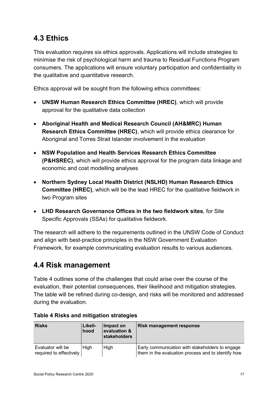## <span id="page-27-0"></span>**4.3 Ethics**

This evaluation requires six ethics approvals. Applications will include strategies to minimise the risk of psychological harm and trauma to Residual Functions Program consumers. The applications will ensure voluntary participation and confidentiality in the qualitative and quantitative research.

Ethics approval will be sought from the following ethics committees:

- **UNSW Human Research Ethics Committee (HREC)**, which will provide approval for the qualitative data collection
- **Aboriginal Health and Medical Research Council (AH&MRC) Human Research Ethics Committee (HREC)**, which will provide ethics clearance for Aboriginal and Torres Strait Islander involvement in the evaluation
- **NSW Population and Health Services Research Ethics Committee (P&HSREC)**, which will provide ethics approval for the program data linkage and economic and cost modelling analyses
- **Northern Sydney Local Health District (NSLHD) Human Research Ethics Committee (HREC)**, which will be the lead HREC for the qualitative fieldwork in two Program sites
- **LHD Research Governance Offices in the two fieldwork sites**, for Site Specific Approvals (SSAs) for qualitative fieldwork.

The research will adhere to the requirements outlined in the UNSW Code of Conduct and align with best-practice principles in the NSW Government Evaluation Framework, for example communicating evaluation results to various audiences.

## <span id="page-27-1"></span>**4.4 Risk management**

[Table 4](#page-27-2) outlines some of the challenges that could arise over the course of the evaluation, their potential consequences, their likelihood and mitigation strategies. The table will be refined during co-design, and risks will be monitored and addressed during the evaluation.

| <b>Risks</b>                                 | Likeli-<br>hood | Impact on<br>evaluation &<br>stakeholders | <b>Risk management response</b>                                                                       |
|----------------------------------------------|-----------------|-------------------------------------------|-------------------------------------------------------------------------------------------------------|
| Evaluator will be<br>required to effectively | High            | High                                      | Early communication with stakeholders to engage<br>them in the evaluation process and to identify how |

#### <span id="page-27-2"></span>**Table 4 Risks and mitigation strategies**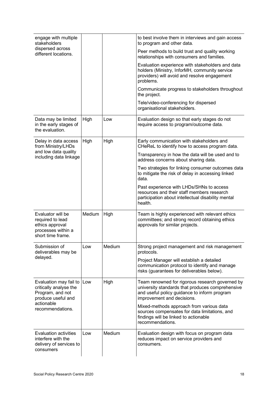| engage with multiple<br>stakeholders                                                                |        |        | to best involve them in interviews and gain access<br>to program and other data.                                                                                                  |
|-----------------------------------------------------------------------------------------------------|--------|--------|-----------------------------------------------------------------------------------------------------------------------------------------------------------------------------------|
| dispersed across<br>different locations.                                                            |        |        | Peer methods to build trust and quality working<br>relationships with consumers and families.                                                                                     |
|                                                                                                     |        |        | Evaluation experience with stakeholders and data<br>holders (Ministry, InforMH, community service<br>providers) will avoid and resolve engagement<br>problems.                    |
|                                                                                                     |        |        | Communicate progress to stakeholders throughout<br>the project.                                                                                                                   |
|                                                                                                     |        |        | Tele/video-conferencing for dispersed<br>organisational stakeholders.                                                                                                             |
| Data may be limited<br>in the early stages of<br>the evaluation.                                    | High   | Low    | Evaluation design so that early stages do not<br>require access to program/outcome data.                                                                                          |
| Delay in data access<br>from Ministry/LHDs                                                          | High   | High   | Early communication with stakeholders and<br>CHeReL to identify how to access program data.                                                                                       |
| and low data quality<br>including data linkage                                                      |        |        | Transparency in how the data will be used and to<br>address concerns about sharing data.                                                                                          |
|                                                                                                     |        |        | Two strategies for linking consumer outcomes data<br>to mitigate the risk of delay in accessing linked<br>data.                                                                   |
|                                                                                                     |        |        | Past experience with LHDs/SHNs to access<br>resources and their staff members research<br>participation about intellectual disability mental<br>health.                           |
| Evaluator will be<br>required to lead<br>ethics approval<br>processes within a<br>short time frame. | Medium | High   | Team is highly experienced with relevant ethics<br>committees; and strong record obtaining ethics<br>approvals for similar projects.                                              |
| Submission of<br>deliverables may be                                                                | Low    | Medium | Strong project management and risk management<br>protocols.                                                                                                                       |
| delayed.                                                                                            |        |        | Project Manager will establish a detailed<br>communication protocol to identify and manage<br>risks (guarantees for deliverables below).                                          |
| Evaluation may fail to<br>critically analyse the<br>Program, and not<br>produce useful and          | Low    | High   | Team renowned for rigorous research governed by<br>university standards that produces comprehensive<br>and useful policy guidance to inform program<br>improvement and decisions. |
| actionable<br>recommendations.                                                                      |        |        | Mixed-methods approach from various data<br>sources compensates for data limitations, and<br>findings will be linked to actionable<br>recommendations.                            |
| <b>Evaluation activities</b><br>interfere with the<br>delivery of services to<br>consumers          | Low    | Medium | Evaluation design with focus on program data<br>reduces impact on service providers and<br>consumers.                                                                             |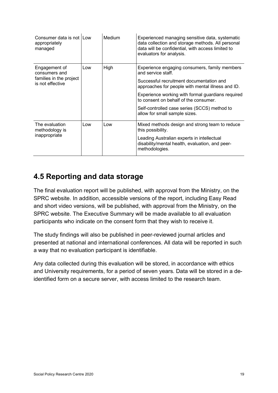| Consumer data is not I Low<br>appropriately<br>managed                        |     | Medium | Experienced managing sensitive data, systematic<br>data collection and storage methods. All personal<br>data will be confidential, with access limited to<br>evaluators for analysis.                                                                                                                                                               |
|-------------------------------------------------------------------------------|-----|--------|-----------------------------------------------------------------------------------------------------------------------------------------------------------------------------------------------------------------------------------------------------------------------------------------------------------------------------------------------------|
| Engagement of<br>consumers and<br>families in the project<br>is not effective | Low | High   | Experience engaging consumers, family members<br>and service staff.<br>Successful recruitment documentation and<br>approaches for people with mental illness and ID.<br>Experience working with formal guardians required<br>to consent on behalf of the consumer.<br>Self-controlled case series (SCCS) method to<br>allow for small sample sizes. |
| The evaluation<br>methodology is<br>inappropriate                             | Low | Low    | Mixed methods design and strong team to reduce<br>this possibility.<br>Leading Australian experts in intellectual<br>disability/mental health, evaluation, and peer-<br>methodologies.                                                                                                                                                              |

## <span id="page-29-0"></span>**4.5 Reporting and data storage**

The final evaluation report will be published, with approval from the Ministry, on the SPRC website. In addition, accessible versions of the report, including Easy Read and short video versions, will be published, with approval from the Ministry, on the SPRC website. The Executive Summary will be made available to all evaluation participants who indicate on the consent form that they wish to receive it.

The study findings will also be published in peer-reviewed journal articles and presented at national and international conferences. All data will be reported in such a way that no evaluation participant is identifiable.

Any data collected during this evaluation will be stored, in accordance with ethics and University requirements, for a period of seven years. Data will be stored in a deidentified form on a secure server, with access limited to the research team.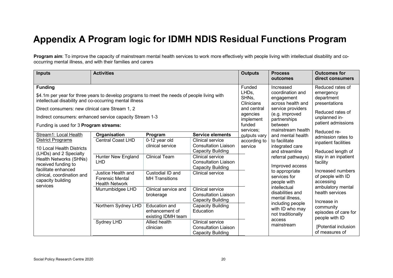# **Appendix A Program logic for IDMH NDIS Residual Functions Program**

**Program aim**: To improve the capacity of mainstream mental health services to work more effectively with people living with intellectual disability and cooccurring mental illness, and with their families and carers

<span id="page-30-0"></span>

| <b>Inputs</b>                                                                                                                                                                                                                                                                                                                                                                                                                              | <b>Activities</b>                                                                                                 |                                                                                                                                                                                                                  |                                                                                                                                                                                                     | <b>Outputs</b>                                                                                                                                                                                                                                   | <b>Process</b><br>outcomes                                                                                                                                                | <b>Outcomes for</b><br>direct consumers                                                                                                              |
|--------------------------------------------------------------------------------------------------------------------------------------------------------------------------------------------------------------------------------------------------------------------------------------------------------------------------------------------------------------------------------------------------------------------------------------------|-------------------------------------------------------------------------------------------------------------------|------------------------------------------------------------------------------------------------------------------------------------------------------------------------------------------------------------------|-----------------------------------------------------------------------------------------------------------------------------------------------------------------------------------------------------|--------------------------------------------------------------------------------------------------------------------------------------------------------------------------------------------------------------------------------------------------|---------------------------------------------------------------------------------------------------------------------------------------------------------------------------|------------------------------------------------------------------------------------------------------------------------------------------------------|
| <b>Funding</b><br>\$4.1m per year for three years to develop programs to meet the needs of people living with<br>intellectual disability and co-occurring mental illness<br>Direct consumers: new clinical care Stream 1, 2<br>Indirect consumers: enhanced service capacity Stream 1-3<br>Funding is used for 3 Program streams:                                                                                                          |                                                                                                                   |                                                                                                                                                                                                                  |                                                                                                                                                                                                     | Funded<br>Increased<br>LHD <sub>s</sub><br>coordination and<br>SHNs,<br>engagement<br><b>Clinicians</b><br>across health and<br>and central<br>service providers<br>(e.g. improved<br>agencies<br>partnerships<br>implement<br>funded<br>between | Reduced rates of<br>emergency<br>department<br>presentations<br>Reduced rates of<br>unplanned in-<br>patient admissions                                                   |                                                                                                                                                      |
| Stream1: Local Health<br>Organisation<br><b>Central Coast LHD</b><br>District Programs<br>10 Local Health Districts<br>(LHDs) and 2 Specialty<br><b>Hunter New England</b><br>Health Networks (SHNs)<br><b>LHD</b><br>received funding to<br>facilitate enhanced<br>Justice Health and<br>clinical, coordination and<br><b>Forensic Mental</b><br>capacity building<br><b>Health Network</b><br>services<br>Murrumbidgee LHD<br>Sydney LHD | Program<br>0-12 year old<br>clinical service<br><b>Clinical Team</b><br>Custodial ID and<br><b>MH</b> Transitions | <b>Service elements</b><br>Clinical service<br><b>Consultation Liaison</b><br><b>Capacity Building</b><br>Clinical service<br><b>Consultation Liaison</b><br><b>Capacity Building</b><br><b>Clinical service</b> | services;<br>outputs vary<br>according to<br>service                                                                                                                                                | mainstream health<br>and mental health<br>to facilitate<br>integrated care<br>and streamline<br>referral pathways)<br>Improved access<br>to appropriate<br>services for<br>people with                                                           | Reduced re-<br>admission rates to<br>inpatient facilities<br>Reduced length of<br>stay in an inpatient<br>facility<br>Increased numbers<br>of people with ID<br>accessing |                                                                                                                                                      |
|                                                                                                                                                                                                                                                                                                                                                                                                                                            | Northern Sydney LHD                                                                                               | Clinical service and<br>brokerage<br><b>Education and</b><br>enhancement of<br>existing IDMH team<br>Allied health<br>clinician                                                                                  | Clinical service<br><b>Consultation Liaison</b><br><b>Capacity Building</b><br><b>Capacity Building</b><br>Education<br>Clinical service<br><b>Consultation Liaison</b><br><b>Capacity Building</b> |                                                                                                                                                                                                                                                  | intellectual<br>disabilities and<br>mental illness,<br>including people<br>with ID who may<br>not traditionally<br>access<br>mainstream                                   | ambulatory mental<br>health services<br>Increase in<br>community<br>episodes of care for<br>people with ID<br>[Potential inclusion<br>of measures of |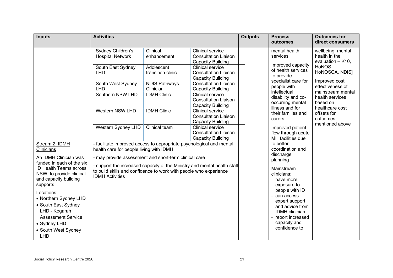| <b>Inputs</b>                                                                                  | <b>Activities</b>                                                                                               |                                   |                                                                                    | <b>Outputs</b> | <b>Process</b><br>outcomes                                                                                                                                                                                                            | <b>Outcomes for</b><br>direct consumers                                                                                                                                                                                    |
|------------------------------------------------------------------------------------------------|-----------------------------------------------------------------------------------------------------------------|-----------------------------------|------------------------------------------------------------------------------------|----------------|---------------------------------------------------------------------------------------------------------------------------------------------------------------------------------------------------------------------------------------|----------------------------------------------------------------------------------------------------------------------------------------------------------------------------------------------------------------------------|
|                                                                                                | Sydney Children's<br><b>Hospital Network</b>                                                                    | Clinical<br>enhancement           | <b>Clinical service</b><br><b>Consultation Liaison</b><br><b>Capacity Building</b> |                | mental health<br>services<br>Improved capacity<br>of health services<br>to provide<br>specialist care for<br>people with<br>intellectual<br>disability and co-<br>occurring mental<br>illness and for<br>their families and<br>carers | wellbeing, mental<br>health in the<br>evaluation - K10,<br>HoNOS,<br>HoNOSCA, NDIS]<br>Improved cost<br>effectiveness of<br>mainstream mental<br>health services<br>based on<br>healthcare cost<br>offsets for<br>outcomes |
|                                                                                                | South East Sydney<br><b>LHD</b>                                                                                 | Adolescent<br>transition clinic   | <b>Clinical service</b><br><b>Consultation Liaison</b><br><b>Capacity Building</b> |                |                                                                                                                                                                                                                                       |                                                                                                                                                                                                                            |
|                                                                                                | South West Sydney<br><b>LHD</b>                                                                                 | <b>NDIS Pathways</b><br>Clinician | <b>Consultation Liaison</b><br><b>Capacity Building</b>                            |                |                                                                                                                                                                                                                                       |                                                                                                                                                                                                                            |
|                                                                                                | Southern NSW LHD                                                                                                | <b>IDMH Clinic</b>                | <b>Clinical service</b><br><b>Consultation Liaison</b><br><b>Capacity Building</b> |                |                                                                                                                                                                                                                                       |                                                                                                                                                                                                                            |
|                                                                                                | Western NSW LHD                                                                                                 | <b>IDMH Clinic</b>                | <b>Clinical service</b><br><b>Consultation Liaison</b><br><b>Capacity Building</b> |                |                                                                                                                                                                                                                                       |                                                                                                                                                                                                                            |
|                                                                                                | Western Sydney LHD                                                                                              | Clinical team                     | <b>Clinical service</b><br><b>Consultation Liaison</b><br><b>Capacity Building</b> |                | Improved patient<br>flow through acute<br>MH facilities due                                                                                                                                                                           | mentioned above                                                                                                                                                                                                            |
| Stream 2: IDMH<br>Clinicians                                                                   | - facilitate improved access to appropriate psychological and mental<br>health care for people living with IDMH |                                   |                                                                                    |                | to better<br>coordination and<br>discharge                                                                                                                                                                                            |                                                                                                                                                                                                                            |
| An IDMH Clinician was<br>funded in each of the six                                             | - may provide assessment and short-term clinical care                                                           |                                   |                                                                                    |                | planning                                                                                                                                                                                                                              |                                                                                                                                                                                                                            |
| <b>ID Health Teams across</b><br>NSW, to provide clinical<br>and capacity building<br>supports | to build skills and confidence to work with people who experience<br><b>IDMH Activities</b>                     |                                   | - support the increased capacity of the Ministry and mental health staff           |                | Mainstream<br>clinicians:<br>- have more<br>exposure to                                                                                                                                                                               |                                                                                                                                                                                                                            |
| Locations:<br>• Northern Sydney LHD<br>• South East Sydney<br>LHD - Kogarah                    |                                                                                                                 |                                   |                                                                                    |                | people with ID<br>can access<br>expert support<br>and advice from<br><b>IDMH</b> clinician                                                                                                                                            |                                                                                                                                                                                                                            |
| <b>Assessment Service</b><br>• Sydney LHD<br>• South West Sydney<br><b>LHD</b>                 |                                                                                                                 |                                   |                                                                                    |                | report increased<br>capacity and<br>confidence to                                                                                                                                                                                     |                                                                                                                                                                                                                            |